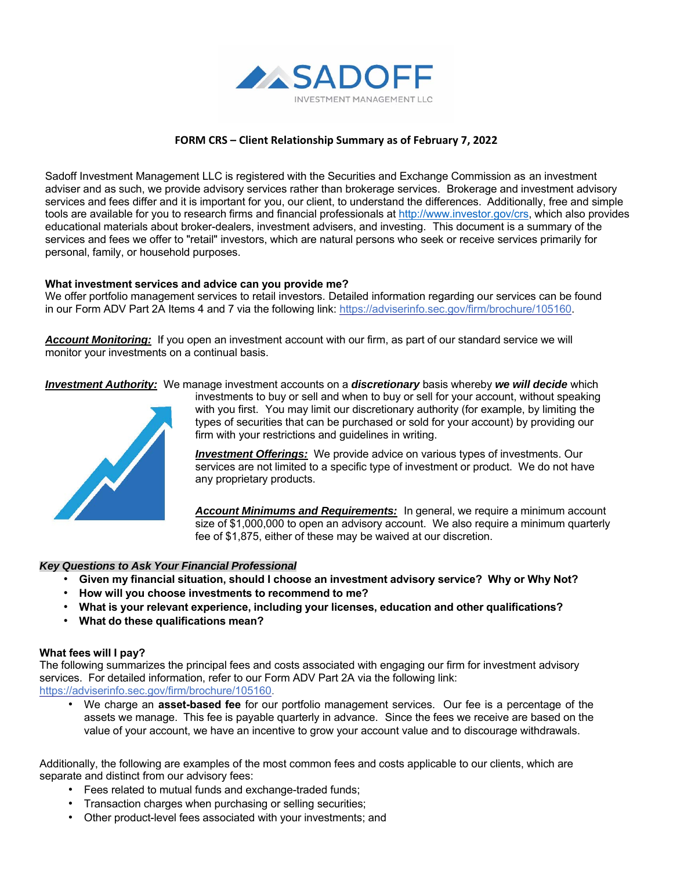

## **FORM CRS – Client Relationship Summary as of February 7, 2022**

Sadoff Investment Management LLC is registered with the Securities and Exchange Commission as an investment adviser and as such, we provide advisory services rather than brokerage services. Brokerage and investment advisory services and fees differ and it is important for you, our client, to understand the differences. Additionally, free and simple tools are available for you to research firms and financial professionals at http://www.investor.gov/crs, which also provides educational materials about broker-dealers, investment advisers, and investing. This document is a summary of the services and fees we offer to "retail" investors, which are natural persons who seek or receive services primarily for personal, family, or household purposes.

### **What investment services and advice can you provide me?**

We offer portfolio management services to retail investors. Detailed information regarding our services can be found in our Form ADV Part 2A Items 4 and 7 via the following link: https://adviserinfo.sec.gov/firm/brochure/105160.

*Account Monitoring:* If you open an investment account with our firm, as part of our standard service we will monitor your investments on a continual basis.

*Investment Authority:* We manage investment accounts on a *discretionary* basis whereby *we will decide* which



investments to buy or sell and when to buy or sell for your account, without speaking with you first. You may limit our discretionary authority (for example, by limiting the types of securities that can be purchased or sold for your account) by providing our firm with your restrictions and guidelines in writing.

*Investment Offerings:* We provide advice on various types of investments. Our services are not limited to a specific type of investment or product. We do not have any proprietary products.

*Account Minimums and Requirements:* In general, we require a minimum account size of \$1,000,000 to open an advisory account. We also require a minimum quarterly fee of \$1,875, either of these may be waived at our discretion.

#### *Key Questions to Ask Your Financial Professional*

- **Given my financial situation, should I choose an investment advisory service? Why or Why Not?**
- **How will you choose investments to recommend to me?**
- **What is your relevant experience, including your licenses, education and other qualifications?**
- **What do these qualifications mean?**

## **What fees will I pay?**

The following summarizes the principal fees and costs associated with engaging our firm for investment advisory services. For detailed information, refer to our Form ADV Part 2A via the following link: https://adviserinfo.sec.gov/firm/brochure/105160.

• We charge an **asset-based fee** for our portfolio management services. Our fee is a percentage of the assets we manage. This fee is payable quarterly in advance. Since the fees we receive are based on the value of your account, we have an incentive to grow your account value and to discourage withdrawals.

Additionally, the following are examples of the most common fees and costs applicable to our clients, which are separate and distinct from our advisory fees:

- Fees related to mutual funds and exchange-traded funds;
- Transaction charges when purchasing or selling securities;
- Other product-level fees associated with your investments; and